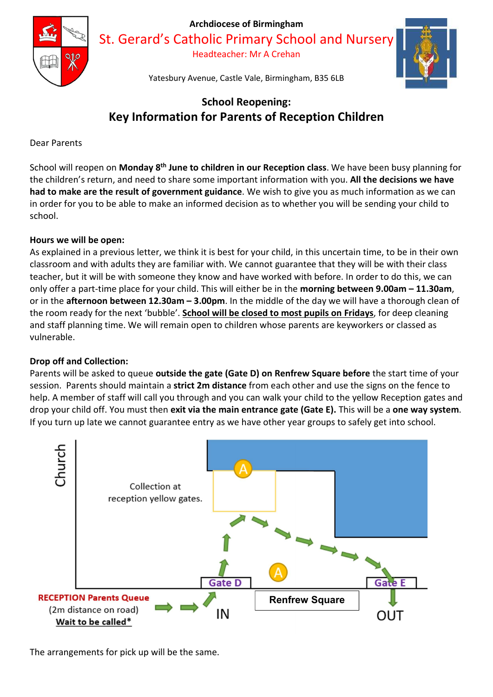

St. Gerard's Catholic Primary School and Nursery

Headteacher: Mr A Crehan



Yatesbury Avenue, Castle Vale, Birmingham, B35 6LB

# School Reopening: Key Information for Parents of Reception Children

Dear Parents

School will reopen on Monday 8<sup>th</sup> June to children in our Reception class. We have been busy planning for the children's return, and need to share some important information with you. All the decisions we have had to make are the result of government guidance. We wish to give you as much information as we can in order for you to be able to make an informed decision as to whether you will be sending your child to school.

# Hours we will be open:

As explained in a previous letter, we think it is best for your child, in this uncertain time, to be in their own classroom and with adults they are familiar with. We cannot guarantee that they will be with their class teacher, but it will be with someone they know and have worked with before. In order to do this, we can only offer a part-time place for your child. This will either be in the morning between 9.00am – 11.30am, or in the afternoon between 12.30am - 3.00pm. In the middle of the day we will have a thorough clean of the room ready for the next 'bubble'. School will be closed to most pupils on Fridays, for deep cleaning and staff planning time. We will remain open to children whose parents are keyworkers or classed as vulnerable.

# Drop off and Collection:

Parents will be asked to queue outside the gate (Gate D) on Renfrew Square before the start time of your session. Parents should maintain a strict 2m distance from each other and use the signs on the fence to help. A member of staff will call you through and you can walk your child to the yellow Reception gates and drop your child off. You must then exit via the main entrance gate (Gate E). This will be a one way system. If you turn up late we cannot guarantee entry as we have other year groups to safely get into school.



The arrangements for pick up will be the same.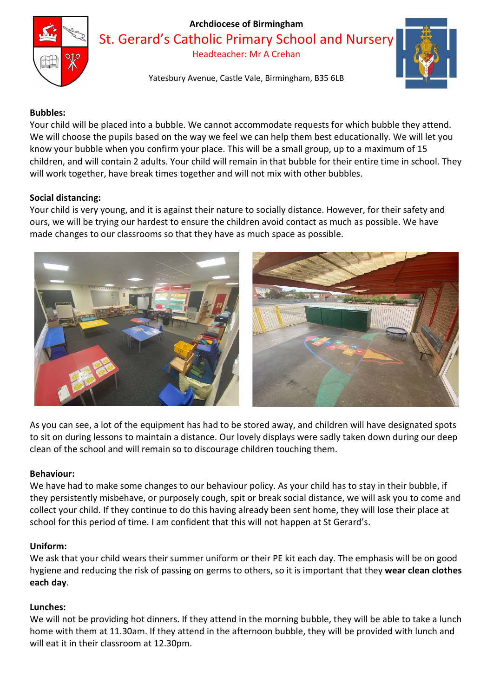

St. Gerard's Catholic Primary School and Nursery

Headteacher: Mr A Crehan

Yatesbury Avenue, Castle Vale, Birmingham, B35 6LB



## Bubbles:

Your child will be placed into a bubble. We cannot accommodate requests for which bubble they attend. We will choose the pupils based on the way we feel we can help them best educationally. We will let you know your bubble when you confirm your place. This will be a small group, up to a maximum of 15 children, and will contain 2 adults. Your child will remain in that bubble for their entire time in school. They will work together, have break times together and will not mix with other bubbles.

#### Social distancing:

Your child is very young, and it is against their nature to socially distance. However, for their safety and ours, we will be trying our hardest to ensure the children avoid contact as much as possible. We have made changes to our classrooms so that they have as much space as possible.



As you can see, a lot of the equipment has had to be stored away, and children will have designated spots to sit on during lessons to maintain a distance. Our lovely displays were sadly taken down during our deep clean of the school and will remain so to discourage children touching them.

#### Behaviour:

We have had to make some changes to our behaviour policy. As your child has to stay in their bubble, if they persistently misbehave, or purposely cough, spit or break social distance, we will ask you to come and collect your child. If they continue to do this having already been sent home, they will lose their place at school for this period of time. I am confident that this will not happen at St Gerard's.

#### Uniform:

We ask that your child wears their summer uniform or their PE kit each day. The emphasis will be on good hygiene and reducing the risk of passing on germs to others, so it is important that they wear clean clothes each day.

## Lunches:

We will not be providing hot dinners. If they attend in the morning bubble, they will be able to take a lunch home with them at 11.30am. If they attend in the afternoon bubble, they will be provided with lunch and will eat it in their classroom at 12.30pm.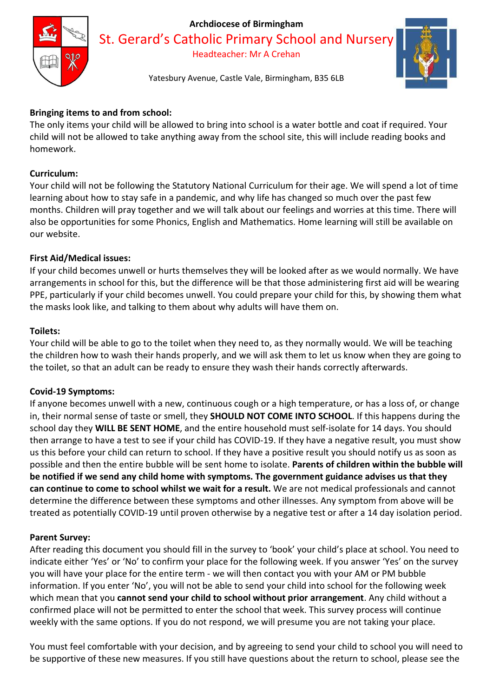

St. Gerard's Catholic Primary School and Nursery

Headteacher: Mr A Crehan

# Yatesbury Avenue, Castle Vale, Birmingham, B35 6LB

# Bringing items to and from school:

The only items your child will be allowed to bring into school is a water bottle and coat if required. Your child will not be allowed to take anything away from the school site, this will include reading books and homework.

# Curriculum:

Your child will not be following the Statutory National Curriculum for their age. We will spend a lot of time learning about how to stay safe in a pandemic, and why life has changed so much over the past few months. Children will pray together and we will talk about our feelings and worries at this time. There will also be opportunities for some Phonics, English and Mathematics. Home learning will still be available on our website.

## First Aid/Medical issues:

If your child becomes unwell or hurts themselves they will be looked after as we would normally. We have arrangements in school for this, but the difference will be that those administering first aid will be wearing PPE, particularly if your child becomes unwell. You could prepare your child for this, by showing them what the masks look like, and talking to them about why adults will have them on.

## Toilets:

Your child will be able to go to the toilet when they need to, as they normally would. We will be teaching the children how to wash their hands properly, and we will ask them to let us know when they are going to the toilet, so that an adult can be ready to ensure they wash their hands correctly afterwards.

## Covid-19 Symptoms:

If anyone becomes unwell with a new, continuous cough or a high temperature, or has a loss of, or change in, their normal sense of taste or smell, they **SHOULD NOT COME INTO SCHOOL**. If this happens during the school day they WILL BE SENT HOME, and the entire household must self-isolate for 14 days. You should then arrange to have a test to see if your child has COVID-19. If they have a negative result, you must show us this before your child can return to school. If they have a positive result you should notify us as soon as possible and then the entire bubble will be sent home to isolate. Parents of children within the bubble will be notified if we send any child home with symptoms. The government guidance advises us that they can continue to come to school whilst we wait for a result. We are not medical professionals and cannot determine the difference between these symptoms and other illnesses. Any symptom from above will be treated as potentially COVID-19 until proven otherwise by a negative test or after a 14 day isolation period.

## Parent Survey:

After reading this document you should fill in the survey to 'book' your child's place at school. You need to indicate either 'Yes' or 'No' to confirm your place for the following week. If you answer 'Yes' on the survey you will have your place for the entire term - we will then contact you with your AM or PM bubble information. If you enter 'No', you will not be able to send your child into school for the following week which mean that you cannot send your child to school without prior arrangement. Any child without a confirmed place will not be permitted to enter the school that week. This survey process will continue weekly with the same options. If you do not respond, we will presume you are not taking your place.

You must feel comfortable with your decision, and by agreeing to send your child to school you will need to be supportive of these new measures. If you still have questions about the return to school, please see the